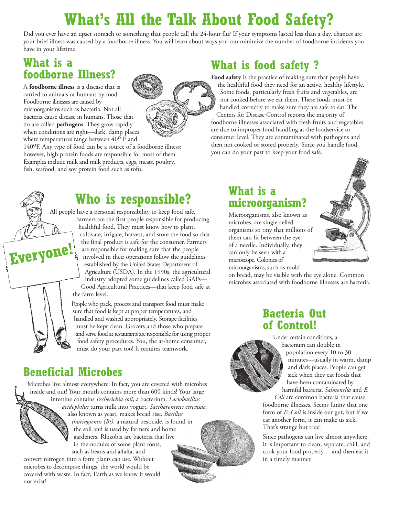# **What's All the Talk About Food Safety?**

Did you ever have an upset stomach or something that people call the 24-hour flu? If your symptoms lasted less than a day, chances are your brief illness was caused by a foodborne illness. You will learn about ways you can minimize the number of foodborne incidents you have in your lifetime.

# **What is a foodborne Illness?**

A **foodborne illness** is a disease that is carried to animals or humans by food. Foodborne illnesses are caused by microorganisms such as bacteria. Not all bacteria cause disease in humans. Those that do are called **pathogens**. They grow rapidly when conditions are right—dark, damp places where temperatures range between 40<sup>o</sup> F and

140<sup>o</sup>F. Any type of food can be a source of a foodborne illness; however, high protein foods are responsible for most of them. Examples include milk and milk products, eggs, meats, poultry, fish, seafood, and soy protein food such as tofu.

# **What is food safety ?**

**Food safety** is the practice of making sure that people have the healthful food they need for an active, healthy lifestyle. Some foods, particularly fresh fruits and vegetables, are not cooked before we eat them. These foods must be handled correctly to make sure they are safe to eat. The Centers for Disease Control reports the majority of foodborne illnesses associated with fresh fruits and vegetables are due to improper food handling at the foodservice or consumer level. They are contaminated with pathogens and then not cooked or stored properly. Since you handle food, you can do your part to keep your food safe.

# **Everyone!**

# **Who is responsible?**

All people have a personal responsibility to keep food safe. Farmers are the first people responsible for producing healthful food. They must know how to plant, cultivate, irrigate, harvest, and store the food so that the final product is safe for the consumer. Farmers are responsible for making sure that the people involved in their operations follow the guidelines established by the United States Department of Agriculture (USDA). In the 1990s, the agricultural industry adopted some guidelines called GAPs— Good Agricultural Practices—that keep food safe at the farm level.

> People who pack, process and transport food must make sure that food is kept at proper temperatures, and handled and washed appropriately. Storage facilities must be kept clean. Grocers and those who prepare and serve food at restaurants are responsible for using proper food safety procedures. You, the at-home consumer, must do your part too! It requires teamwork.

# **Beneficial Microbes**

Microbes live almost everywhere! In fact, you are covered with microbes inside and out! Your mouth contains more than 600 kinds! Your large intestine contains *Escherichia coli*, a bacterium. *Lactobacillus* 

> *acidophilus* turns milk into yogurt. *Saccharomyces cerevisae*, also known as yeast, makes bread rise. *Bacillus thuringiensis (Bt),* a natural pesticide, is found in the soil and is used by farmers and home gardeners. Rhizobia are bacteria that live in the nodules of some plant roots, such as beans and alfalfa, and

convert nitrogen into a form plants can use. Without microbes to decompose things, the world would be covered with waste. In fact, Earth as we know it would not exist!

# **What is a microorganism?**

Microorganisms, also known as microbes, are single-celled organisms so tiny that millions of them can fit between the eye of a needle. Individually, they can only be seen with a microscope. Colonies of microorganisms, such as mold

on bread, may be visible with the eye alone. Common microbes associated with foodborne illnesses are bacteria.

### **Bacteria Out of Control!**



Under certain conditions, a bacterium can double in population every 10 to 30 minutes—usually in warm, damp and dark places. People can get sick when they eat foods that have been contaminated by harmful bacteria. *Salmonella* and *E. Coli* are common bacteria that cause

foodborne illnesses. Seems funny that one form of *E. Coli* is inside our gut, but if we eat another form, it can make us sick. That's strange but true!

Since pathogens can live almost anywhere, it is important to clean, separate, chill, and cook your food properly… and then eat it in a timely manner.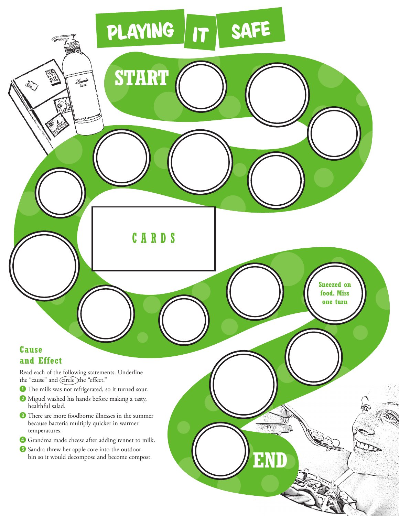### **Cause and Effect**

のは

Lacend

**CAR CONTROL** 

Read each of the following statements. Underline the "cause" and (circle) the "effect."

**START**

PLAYING | IT | SAFE

**C A R D S**

- The milk was not refrigerated, so it turned sour.
- Miguel washed his hands before making a tasty, healthful salad.
- There are more foodborne illnesses in the summer because bacteria multiply quicker in warmer temperatures.
- Grandma made cheese after adding rennet to milk.
- Sandra threw her apple core into the outdoor bin so it would decompose and become compost.

**END**

 $\mathbb{R}$ 

**Sneezed on food. Miss one turn**